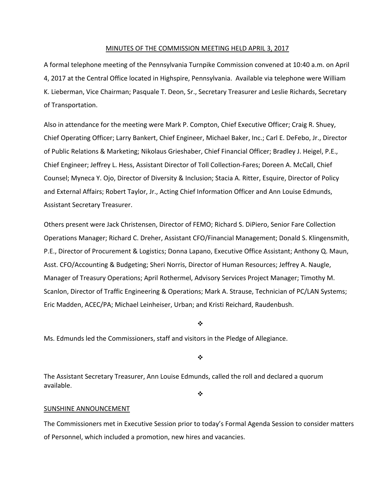### MINUTES OF THE COMMISSION MEETING HELD APRIL 3, 2017

A formal telephone meeting of the Pennsylvania Turnpike Commission convened at 10:40 a.m. on April 4, 2017 at the Central Office located in Highspire, Pennsylvania. Available via telephone were William K. Lieberman, Vice Chairman; Pasquale T. Deon, Sr., Secretary Treasurer and Leslie Richards, Secretary of Transportation.

Also in attendance for the meeting were Mark P. Compton, Chief Executive Officer; Craig R. Shuey, Chief Operating Officer; Larry Bankert, Chief Engineer, Michael Baker, Inc.; Carl E. DeFebo, Jr., Director of Public Relations & Marketing; Nikolaus Grieshaber, Chief Financial Officer; Bradley J. Heigel, P.E., Chief Engineer; Jeffrey L. Hess, Assistant Director of Toll Collection‐Fares; Doreen A. McCall, Chief Counsel; Myneca Y. Ojo, Director of Diversity & Inclusion; Stacia A. Ritter, Esquire, Director of Policy and External Affairs; Robert Taylor, Jr., Acting Chief Information Officer and Ann Louise Edmunds, Assistant Secretary Treasurer.

Others present were Jack Christensen, Director of FEMO; Richard S. DiPiero, Senior Fare Collection Operations Manager; Richard C. Dreher, Assistant CFO/Financial Management; Donald S. Klingensmith, P.E., Director of Procurement & Logistics; Donna Lapano, Executive Office Assistant; Anthony Q. Maun, Asst. CFO/Accounting & Budgeting; Sheri Norris, Director of Human Resources; Jeffrey A. Naugle, Manager of Treasury Operations; April Rothermel, Advisory Services Project Manager; Timothy M. Scanlon, Director of Traffic Engineering & Operations; Mark A. Strause, Technician of PC/LAN Systems; Eric Madden, ACEC/PA; Michael Leinheiser, Urban; and Kristi Reichard, Raudenbush.

❖

Ms. Edmunds led the Commissioners, staff and visitors in the Pledge of Allegiance.

❖

The Assistant Secretary Treasurer, Ann Louise Edmunds, called the roll and declared a quorum available.

 $\frac{1}{2}$ 

#### SUNSHINE ANNOUNCEMENT

The Commissioners met in Executive Session prior to today's Formal Agenda Session to consider matters of Personnel, which included a promotion, new hires and vacancies.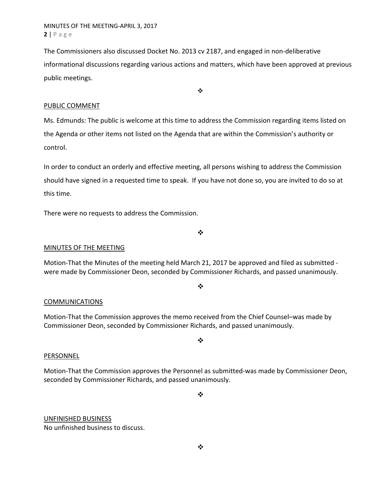MINUTES OF THE MEETING‐APRIL 3, 2017 **2** | Page

The Commissioners also discussed Docket No. 2013 cv 2187, and engaged in non-deliberative informational discussions regarding various actions and matters, which have been approved at previous public meetings.

 $\ddot{\bullet}$ 

# PUBLIC COMMENT

Ms. Edmunds: The public is welcome at this time to address the Commission regarding items listed on the Agenda or other items not listed on the Agenda that are within the Commission's authority or control.

In order to conduct an orderly and effective meeting, all persons wishing to address the Commission should have signed in a requested time to speak. If you have not done so, you are invited to do so at this time.

There were no requests to address the Commission.

 $\bullet^{\bullet}_{\bullet} \bullet$ 

## MINUTES OF THE MEETING

Motion‐That the Minutes of the meeting held March 21, 2017 be approved and filed as submitted ‐ were made by Commissioner Deon, seconded by Commissioner Richards, and passed unanimously.

 $\cdot$ 

## COMMUNICATIONS

Motion‐That the Commission approves the memo received from the Chief Counsel–was made by Commissioner Deon, seconded by Commissioner Richards, and passed unanimously.

 $\frac{1}{2}$ 

## PERSONNEL

Motion‐That the Commission approves the Personnel as submitted‐was made by Commissioner Deon, seconded by Commissioner Richards, and passed unanimously.

❖

# UNFINISHED BUSINESS No unfinished business to discuss.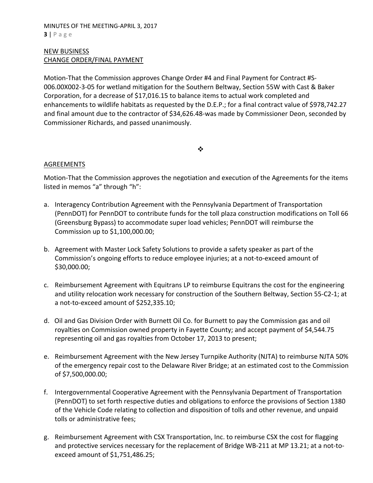## MINUTES OF THE MEETING‐APRIL 3, 2017 **3** | Page

# NEW BUSINESS CHANGE ORDER/FINAL PAYMENT

Motion‐That the Commission approves Change Order #4 and Final Payment for Contract #S‐ 006.00X002‐3‐05 for wetland mitigation for the Southern Beltway, Section 55W with Cast & Baker Corporation, for a decrease of \$17,016.15 to balance items to actual work completed and enhancements to wildlife habitats as requested by the D.E.P.; for a final contract value of \$978,742.27 and final amount due to the contractor of \$34,626.48‐was made by Commissioner Deon, seconded by Commissioner Richards, and passed unanimously.

### $\cdot$

# AGREEMENTS

Motion‐That the Commission approves the negotiation and execution of the Agreements for the items listed in memos "a" through "h":

- a. Interagency Contribution Agreement with the Pennsylvania Department of Transportation (PennDOT) for PennDOT to contribute funds for the toll plaza construction modifications on Toll 66 (Greensburg Bypass) to accommodate super load vehicles; PennDOT will reimburse the Commission up to \$1,100,000.00;
- b. Agreement with Master Lock Safety Solutions to provide a safety speaker as part of the Commission's ongoing efforts to reduce employee injuries; at a not‐to‐exceed amount of \$30,000.00;
- c. Reimbursement Agreement with Equitrans LP to reimburse Equitrans the cost for the engineering and utility relocation work necessary for construction of the Southern Beltway, Section 55‐C2‐1; at a not‐to‐exceed amount of \$252,335.10;
- d. Oil and Gas Division Order with Burnett Oil Co. for Burnett to pay the Commission gas and oil royalties on Commission owned property in Fayette County; and accept payment of \$4,544.75 representing oil and gas royalties from October 17, 2013 to present;
- e. Reimbursement Agreement with the New Jersey Turnpike Authority (NJTA) to reimburse NJTA 50% of the emergency repair cost to the Delaware River Bridge; at an estimated cost to the Commission of \$7,500,000.00;
- f. Intergovernmental Cooperative Agreement with the Pennsylvania Department of Transportation (PennDOT) to set forth respective duties and obligations to enforce the provisions of Section 1380 of the Vehicle Code relating to collection and disposition of tolls and other revenue, and unpaid tolls or administrative fees;
- g. Reimbursement Agreement with CSX Transportation, Inc. to reimburse CSX the cost for flagging and protective services necessary for the replacement of Bridge WB-211 at MP 13.21; at a not-toexceed amount of \$1,751,486.25;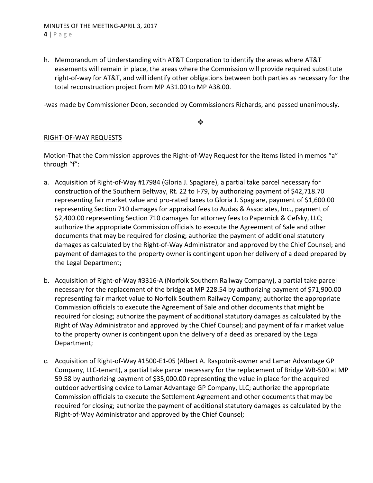h. Memorandum of Understanding with AT&T Corporation to identify the areas where AT&T easements will remain in place, the areas where the Commission will provide required substitute right‐of‐way for AT&T, and will identify other obligations between both parties as necessary for the total reconstruction project from MP A31.00 to MP A38.00.

‐was made by Commissioner Deon, seconded by Commissioners Richards, and passed unanimously.

 $\frac{1}{2}$ 

# RIGHT‐OF‐WAY REQUESTS

Motion-That the Commission approves the Right-of-Way Request for the items listed in memos "a" through "f":

- a. Acquisition of Right‐of‐Way #17984 (Gloria J. Spagiare), a partial take parcel necessary for construction of the Southern Beltway, Rt. 22 to I‐79, by authorizing payment of \$42,718.70 representing fair market value and pro‐rated taxes to Gloria J. Spagiare, payment of \$1,600.00 representing Section 710 damages for appraisal fees to Audas & Associates, Inc., payment of \$2,400.00 representing Section 710 damages for attorney fees to Papernick & Gefsky, LLC; authorize the appropriate Commission officials to execute the Agreement of Sale and other documents that may be required for closing; authorize the payment of additional statutory damages as calculated by the Right‐of‐Way Administrator and approved by the Chief Counsel; and payment of damages to the property owner is contingent upon her delivery of a deed prepared by the Legal Department;
- b. Acquisition of Right‐of‐Way #3316‐A (Norfolk Southern Railway Company), a partial take parcel necessary for the replacement of the bridge at MP 228.54 by authorizing payment of \$71,900.00 representing fair market value to Norfolk Southern Railway Company; authorize the appropriate Commission officials to execute the Agreement of Sale and other documents that might be required for closing; authorize the payment of additional statutory damages as calculated by the Right of Way Administrator and approved by the Chief Counsel; and payment of fair market value to the property owner is contingent upon the delivery of a deed as prepared by the Legal Department;
- c. Acquisition of Right‐of‐Way #1500‐E1‐05 (Albert A. Raspotnik‐owner and Lamar Advantage GP Company, LLC‐tenant), a partial take parcel necessary for the replacement of Bridge WB‐500 at MP 59.58 by authorizing payment of \$35,000.00 representing the value in place for the acquired outdoor advertising device to Lamar Advantage GP Company, LLC; authorize the appropriate Commission officials to execute the Settlement Agreement and other documents that may be required for closing; authorize the payment of additional statutory damages as calculated by the Right‐of‐Way Administrator and approved by the Chief Counsel;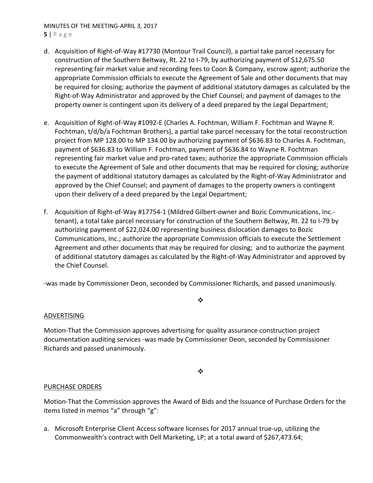# MINUTES OF THE MEETING‐APRIL 3, 2017

- **5** | Page
- d. Acquisition of Right‐of‐Way #17730 (Montour Trail Council), a partial take parcel necessary for construction of the Southern Beltway, Rt. 22 to I‐79, by authorizing payment of \$12,675.50 representing fair market value and recording fees to Coon & Company, escrow agent; authorize the appropriate Commission officials to execute the Agreement of Sale and other documents that may be required for closing; authorize the payment of additional statutory damages as calculated by the Right‐of‐Way Administrator and approved by the Chief Counsel; and payment of damages to the property owner is contingent upon its delivery of a deed prepared by the Legal Department;
- e. Acquisition of Right‐of‐Way #1092‐E (Charles A. Fochtman, William F. Fochtman and Wayne R. Fochtman, t/d/b/a Fochtman Brothers), a partial take parcel necessary for the total reconstruction project from MP 128.00 to MP 134.00 by authorizing payment of \$636.83 to Charles A. Fochtman, payment of \$636.83 to William F. Fochtman, payment of \$636.84 to Wayne R. Fochtman representing fair market value and pro-rated taxes; authorize the appropriate Commission officials to execute the Agreement of Sale and other documents that may be required for closing; authorize the payment of additional statutory damages as calculated by the Right‐of‐Way Administrator and approved by the Chief Counsel; and payment of damages to the property owners is contingent upon their delivery of a deed prepared by the Legal Department;
- f. Acquisition of Right-of-Way #17754-1 (Mildred Gilbert-owner and Bozic Communications, Inc.tenant), a total take parcel necessary for construction of the Southern Beltway, Rt. 22 to I‐79 by authorizing payment of \$22,024.00 representing business dislocation damages to Bozic Communications, Inc.; authorize the appropriate Commission officials to execute the Settlement Agreement and other documents that may be required for closing; and to authorize the payment of additional statutory damages as calculated by the Right‐of‐Way Administrator and approved by the Chief Counsel.

‐was made by Commissioner Deon, seconded by Commissioner Richards, and passed unanimously.

### $\bullet^{\bullet}_{\bullet} \bullet$

## ADVERTISING

Motion‐That the Commission approves advertising for quality assurance construction project documentation auditing services ‐was made by Commissioner Deon, seconded by Commissioner Richards and passed unanimously.

## ❖

# PURCHASE ORDERS

Motion‐That the Commission approves the Award of Bids and the Issuance of Purchase Orders for the items listed in memos "a" through "g":

a. Microsoft Enterprise Client Access software licenses for 2017 annual true‐up, utilizing the Commonwealth's contract with Dell Marketing, LP; at a total award of \$267,473.64;